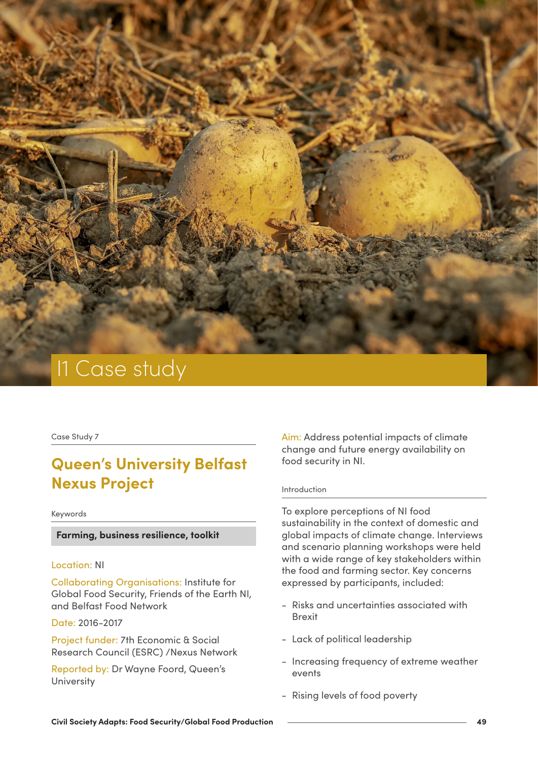

Case Study 7

# **Queen's University Belfast Nexus Project**

#### Keywords

## **Farming, business resilience, toolkit**

### Location: NI

Collaborating Organisations: Institute for Global Food Security, Friends of the Earth NI, and Belfast Food Network

Date: 2016-2017

Project funder: 7th Economic & Social Research Council (ESRC) /Nexus Network

Reported by: Dr Wayne Foord, Queen's **University** 

Aim: Address potential impacts of climate change and future energy availability on food security in NI.

#### Introduction

To explore perceptions of NI food sustainability in the context of domestic and global impacts of climate change. Interviews and scenario planning workshops were held with a wide range of key stakeholders within the food and farming sector. Key concerns expressed by participants, included:

- Risks and uncertainties associated with Brexit
- Lack of political leadership
- Increasing frequency of extreme weather events
- Rising levels of food poverty